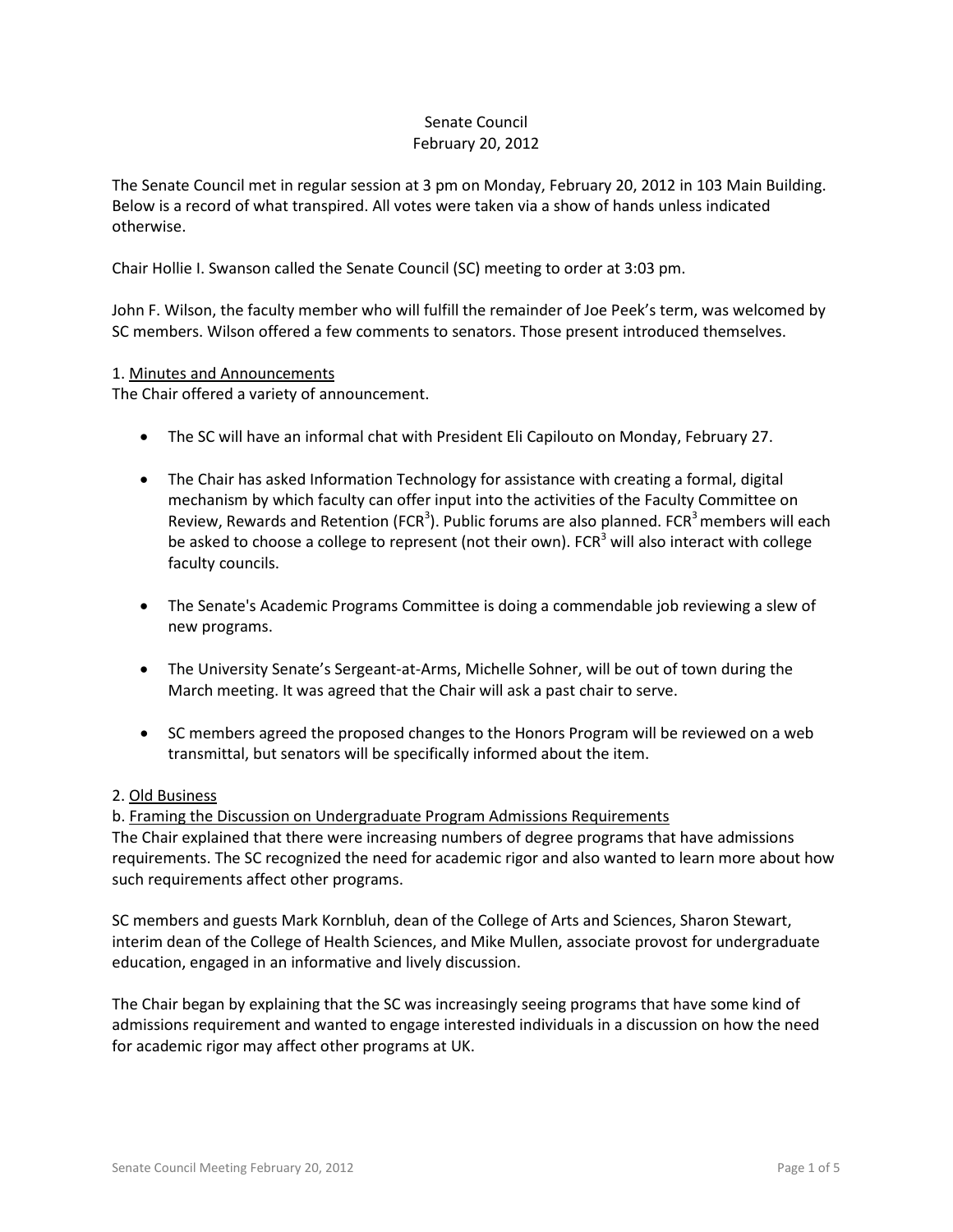### Senate Council February 20, 2012

The Senate Council met in regular session at 3 pm on Monday, February 20, 2012 in 103 Main Building. Below is a record of what transpired. All votes were taken via a show of hands unless indicated otherwise.

Chair Hollie I. Swanson called the Senate Council (SC) meeting to order at 3:03 pm.

John F. Wilson, the faculty member who will fulfill the remainder of Joe Peek's term, was welcomed by SC members. Wilson offered a few comments to senators. Those present introduced themselves.

### 1. Minutes and Announcements

The Chair offered a variety of announcement.

- The SC will have an informal chat with President Eli Capilouto on Monday, February 27.
- The Chair has asked Information Technology for assistance with creating a formal, digital mechanism by which faculty can offer input into the activities of the Faculty Committee on Review, Rewards and Retention (FCR<sup>3</sup>). Public forums are also planned. FCR<sup>3</sup> members will each be asked to choose a college to represent (not their own).  $FCR<sup>3</sup>$  will also interact with college faculty councils.
- The Senate's Academic Programs Committee is doing a commendable job reviewing a slew of new programs.
- The University Senate's Sergeant-at-Arms, Michelle Sohner, will be out of town during the March meeting. It was agreed that the Chair will ask a past chair to serve.
- SC members agreed the proposed changes to the Honors Program will be reviewed on a web transmittal, but senators will be specifically informed about the item.

### 2. Old Business

b. Framing the Discussion on Undergraduate Program Admissions Requirements The Chair explained that there were increasing numbers of degree programs that have admissions requirements. The SC recognized the need for academic rigor and also wanted to learn more about how such requirements affect other programs.

SC members and guests Mark Kornbluh, dean of the College of Arts and Sciences, Sharon Stewart, interim dean of the College of Health Sciences, and Mike Mullen, associate provost for undergraduate education, engaged in an informative and lively discussion.

The Chair began by explaining that the SC was increasingly seeing programs that have some kind of admissions requirement and wanted to engage interested individuals in a discussion on how the need for academic rigor may affect other programs at UK.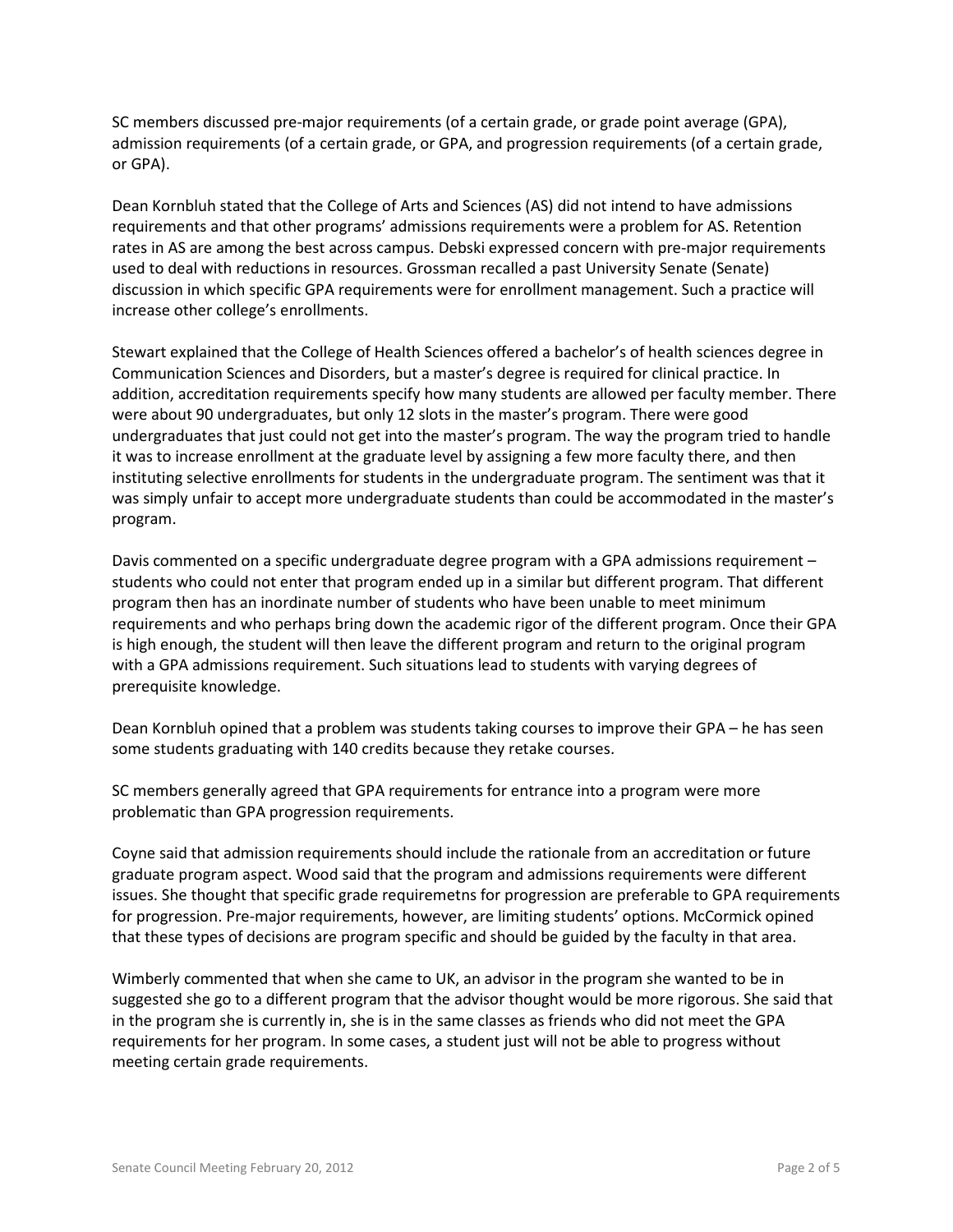SC members discussed pre-major requirements (of a certain grade, or grade point average (GPA), admission requirements (of a certain grade, or GPA, and progression requirements (of a certain grade, or GPA).

Dean Kornbluh stated that the College of Arts and Sciences (AS) did not intend to have admissions requirements and that other programs' admissions requirements were a problem for AS. Retention rates in AS are among the best across campus. Debski expressed concern with pre-major requirements used to deal with reductions in resources. Grossman recalled a past University Senate (Senate) discussion in which specific GPA requirements were for enrollment management. Such a practice will increase other college's enrollments.

Stewart explained that the College of Health Sciences offered a bachelor's of health sciences degree in Communication Sciences and Disorders, but a master's degree is required for clinical practice. In addition, accreditation requirements specify how many students are allowed per faculty member. There were about 90 undergraduates, but only 12 slots in the master's program. There were good undergraduates that just could not get into the master's program. The way the program tried to handle it was to increase enrollment at the graduate level by assigning a few more faculty there, and then instituting selective enrollments for students in the undergraduate program. The sentiment was that it was simply unfair to accept more undergraduate students than could be accommodated in the master's program.

Davis commented on a specific undergraduate degree program with a GPA admissions requirement – students who could not enter that program ended up in a similar but different program. That different program then has an inordinate number of students who have been unable to meet minimum requirements and who perhaps bring down the academic rigor of the different program. Once their GPA is high enough, the student will then leave the different program and return to the original program with a GPA admissions requirement. Such situations lead to students with varying degrees of prerequisite knowledge.

Dean Kornbluh opined that a problem was students taking courses to improve their GPA – he has seen some students graduating with 140 credits because they retake courses.

SC members generally agreed that GPA requirements for entrance into a program were more problematic than GPA progression requirements.

Coyne said that admission requirements should include the rationale from an accreditation or future graduate program aspect. Wood said that the program and admissions requirements were different issues. She thought that specific grade requiremetns for progression are preferable to GPA requirements for progression. Pre-major requirements, however, are limiting students' options. McCormick opined that these types of decisions are program specific and should be guided by the faculty in that area.

Wimberly commented that when she came to UK, an advisor in the program she wanted to be in suggested she go to a different program that the advisor thought would be more rigorous. She said that in the program she is currently in, she is in the same classes as friends who did not meet the GPA requirements for her program. In some cases, a student just will not be able to progress without meeting certain grade requirements.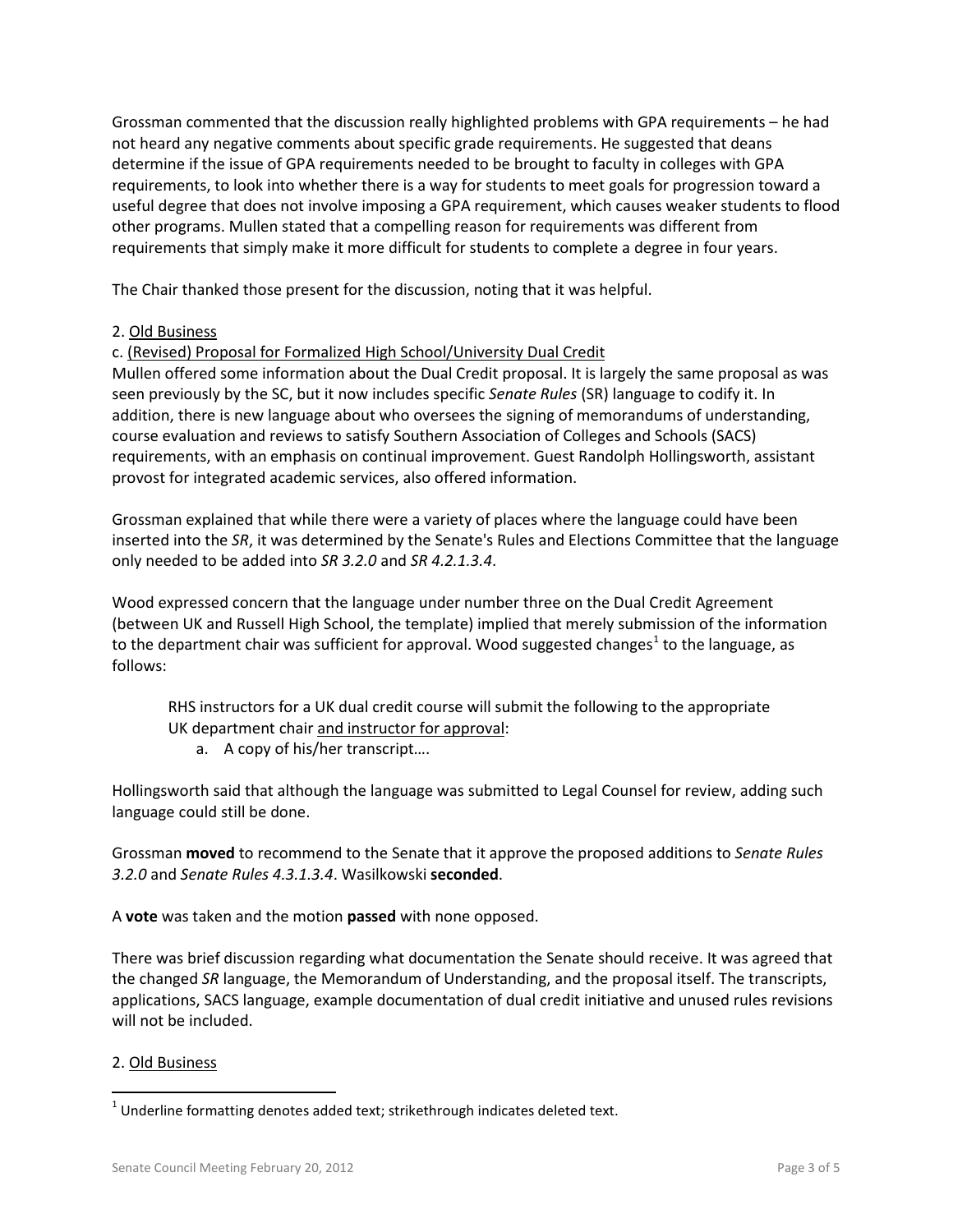Grossman commented that the discussion really highlighted problems with GPA requirements – he had not heard any negative comments about specific grade requirements. He suggested that deans determine if the issue of GPA requirements needed to be brought to faculty in colleges with GPA requirements, to look into whether there is a way for students to meet goals for progression toward a useful degree that does not involve imposing a GPA requirement, which causes weaker students to flood other programs. Mullen stated that a compelling reason for requirements was different from requirements that simply make it more difficult for students to complete a degree in four years.

The Chair thanked those present for the discussion, noting that it was helpful.

# 2. Old Business

c. (Revised) Proposal for Formalized High School/University Dual Credit

Mullen offered some information about the Dual Credit proposal. It is largely the same proposal as was seen previously by the SC, but it now includes specific *Senate Rules* (SR) language to codify it. In addition, there is new language about who oversees the signing of memorandums of understanding, course evaluation and reviews to satisfy Southern Association of Colleges and Schools (SACS) requirements, with an emphasis on continual improvement. Guest Randolph Hollingsworth, assistant provost for integrated academic services, also offered information.

Grossman explained that while there were a variety of places where the language could have been inserted into the *SR*, it was determined by the Senate's Rules and Elections Committee that the language only needed to be added into *SR 3.2.0* and *SR 4.2.1.3.4*.

Wood expressed concern that the language under number three on the Dual Credit Agreement (between UK and Russell High School, the template) implied that merely submission of the information to the department chair was sufficient for approval. Wood suggested changes<sup>[1](#page-2-0)</sup> to the language, as follows:

RHS instructors for a UK dual credit course will submit the following to the appropriate UK department chair and instructor for approval:

a. A copy of his/her transcript….

Hollingsworth said that although the language was submitted to Legal Counsel for review, adding such language could still be done.

Grossman **moved** to recommend to the Senate that it approve the proposed additions to *Senate Rules 3.2.0* and *Senate Rules 4.3.1.3.4*. Wasilkowski **seconded**.

A **vote** was taken and the motion **passed** with none opposed.

There was brief discussion regarding what documentation the Senate should receive. It was agreed that the changed *SR* language, the Memorandum of Understanding, and the proposal itself. The transcripts, applications, SACS language, example documentation of dual credit initiative and unused rules revisions will not be included.

### 2. Old Business

<span id="page-2-0"></span> $1$  Underline formatting denotes added text; strikethrough indicates deleted text.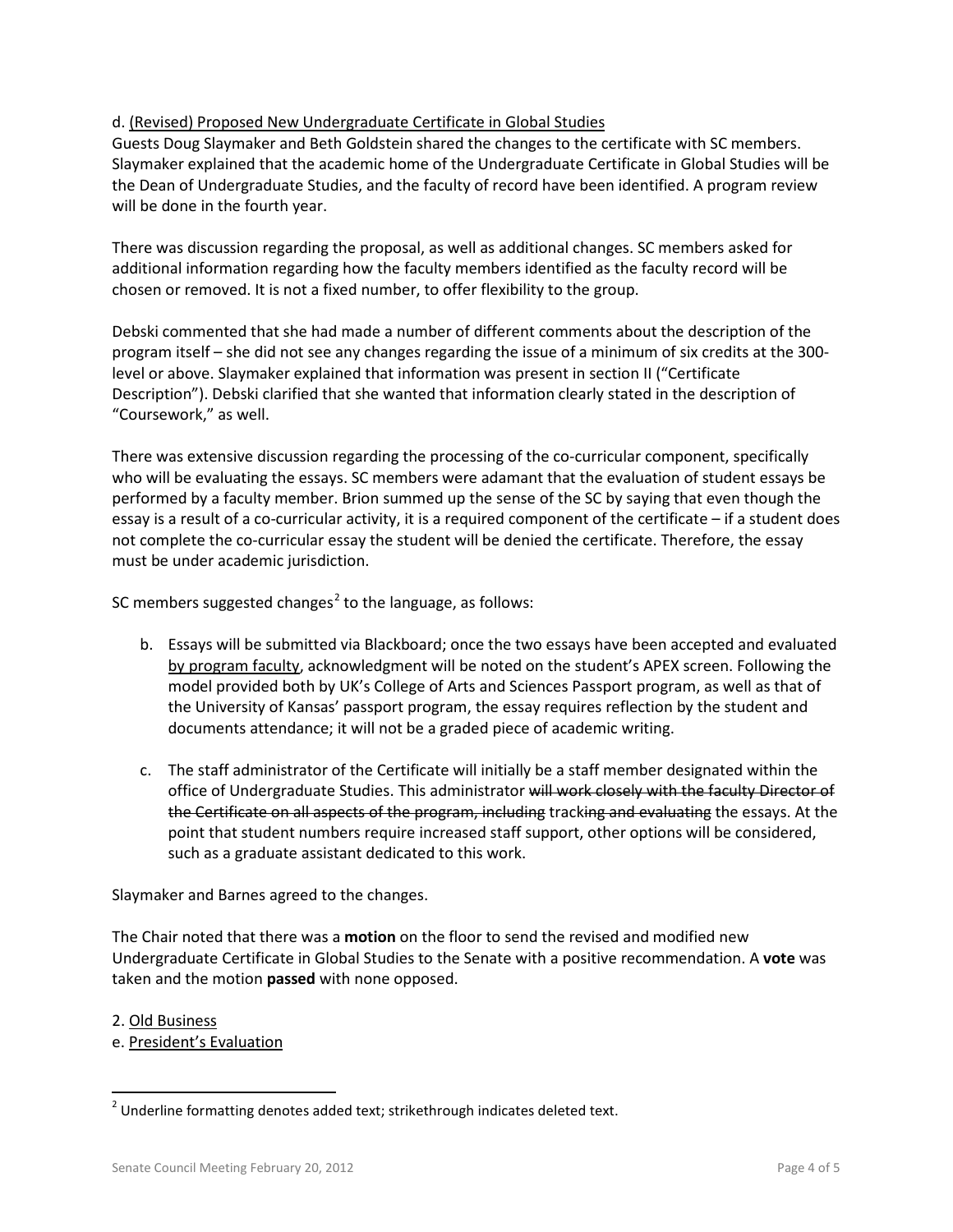## d. (Revised) Proposed New Undergraduate Certificate in Global Studies

Guests Doug Slaymaker and Beth Goldstein shared the changes to the certificate with SC members. Slaymaker explained that the academic home of the Undergraduate Certificate in Global Studies will be the Dean of Undergraduate Studies, and the faculty of record have been identified. A program review will be done in the fourth year.

There was discussion regarding the proposal, as well as additional changes. SC members asked for additional information regarding how the faculty members identified as the faculty record will be chosen or removed. It is not a fixed number, to offer flexibility to the group.

Debski commented that she had made a number of different comments about the description of the program itself – she did not see any changes regarding the issue of a minimum of six credits at the 300 level or above. Slaymaker explained that information was present in section II ("Certificate Description"). Debski clarified that she wanted that information clearly stated in the description of "Coursework," as well.

There was extensive discussion regarding the processing of the co-curricular component, specifically who will be evaluating the essays. SC members were adamant that the evaluation of student essays be performed by a faculty member. Brion summed up the sense of the SC by saying that even though the essay is a result of a co-curricular activity, it is a required component of the certificate – if a student does not complete the co-curricular essay the student will be denied the certificate. Therefore, the essay must be under academic jurisdiction.

SC members suggested changes<sup>[2](#page-3-0)</sup> to the language, as follows:

- b. Essays will be submitted via Blackboard; once the two essays have been accepted and evaluated by program faculty, acknowledgment will be noted on the student's APEX screen. Following the model provided both by UK's College of Arts and Sciences Passport program, as well as that of the University of Kansas' passport program, the essay requires reflection by the student and documents attendance; it will not be a graded piece of academic writing.
- c. The staff administrator of the Certificate will initially be a staff member designated within the office of Undergraduate Studies. This administrator will work closely with the faculty Director of the Certificate on all aspects of the program, including tracking and evaluating the essays. At the point that student numbers require increased staff support, other options will be considered, such as a graduate assistant dedicated to this work.

Slaymaker and Barnes agreed to the changes.

The Chair noted that there was a **motion** on the floor to send the revised and modified new Undergraduate Certificate in Global Studies to the Senate with a positive recommendation. A **vote** was taken and the motion **passed** with none opposed.

- 2. Old Business
- e. President's Evaluation

<span id="page-3-0"></span><sup>&</sup>lt;sup>2</sup> Underline formatting denotes added text; strikethrough indicates deleted text.